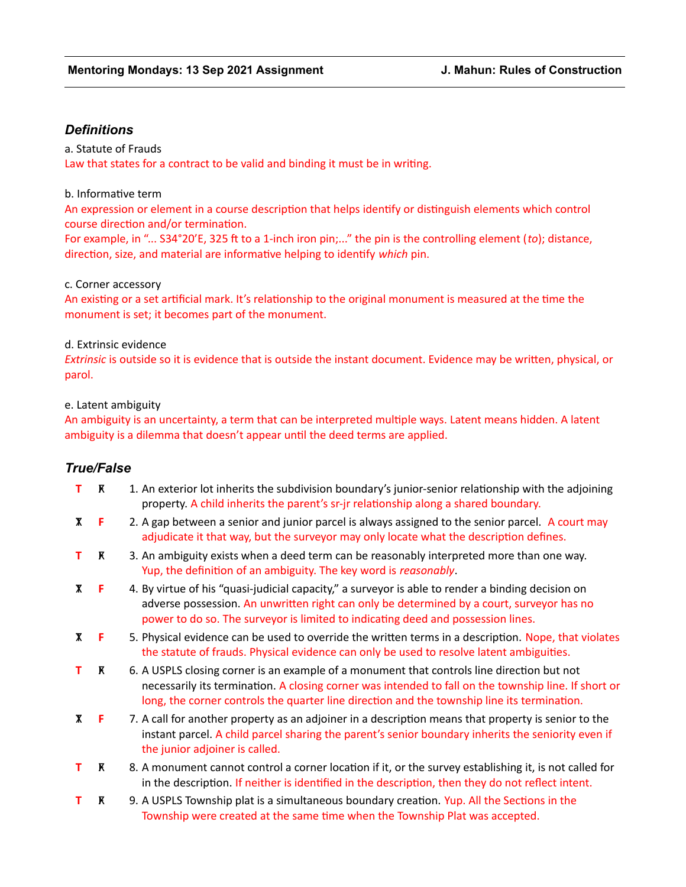# *Definitions*

a. Statute of Frauds Law that states for a contract to be valid and binding it must be in writing.

#### b. Informative term

An expression or element in a course description that helps identify or distinguish elements which control course direction and/or termination.

For example, in "... S34°20'E, 325 ft to a 1-inch iron pin;..." the pin is the controlling element (*to*); distance, direction, size, and material are informative helping to identify *which* pin.

#### c. Corner accessory

An existing or a set artificial mark. It's relationship to the original monument is measured at the time the monument is set; it becomes part of the monument.

### d. Extrinsic evidence

*Extrinsic* is outside so it is evidence that is outside the instant document. Evidence may be written, physical, or parol.

#### e. Latent ambiguity

An ambiguity is an uncertainty, a term that can be interpreted multiple ways. Latent means hidden. A latent ambiguity is a dilemma that doesn't appear until the deed terms are applied.

## *True/False*

- **T R** 1. An exterior lot inherits the subdivision boundary's junior-senior relationship with the adjoining property. A child inherits the parent's sr-jr relationship along a shared boundary.
- TX **F** 2. A gap between a senior and junior parcel is always assigned to the senior parcel. A court may adjudicate it that way, but the surveyor may only locate what the description defines.
- **T R** 3. An ambiguity exists when a deed term can be reasonably interpreted more than one way. Yup, the definition of an ambiguity. The key word is *reasonably*.
- TX **F** 4. By virtue of his "quasi-judicial capacity," a surveyor is able to render a binding decision on adverse possession. An unwritten right can only be determined by a court, surveyor has no power to do so. The surveyor is limited to indicating deed and possession lines.
- TX **F** 5. Physical evidence can be used to override the written terms in a description. Nope, that violates the statute of frauds. Physical evidence can only be used to resolve latent ambiguities.
- **T** F 6. A USPLS closing corner is an example of a monument that controls line direction but not necessarily its termination. A closing corner was intended to fall on the township line. If short or long, the corner controls the quarter line direction and the township line its termination.
- **Timum** 7. A call for another property as an adjoiner in a description means that property is senior to the instant parcel. A child parcel sharing the parent's senior boundary inherits the seniority even if the junior adjoiner is called.
- **T R** 8. A monument cannot control a corner location if it, or the survey establishing it, is not called for in the description. If neither is identified in the description, then they do not reflect intent.
- **T R** 9. A USPLS Township plat is a simultaneous boundary creation. Yup. All the Sections in the Township were created at the same time when the Township Plat was accepted.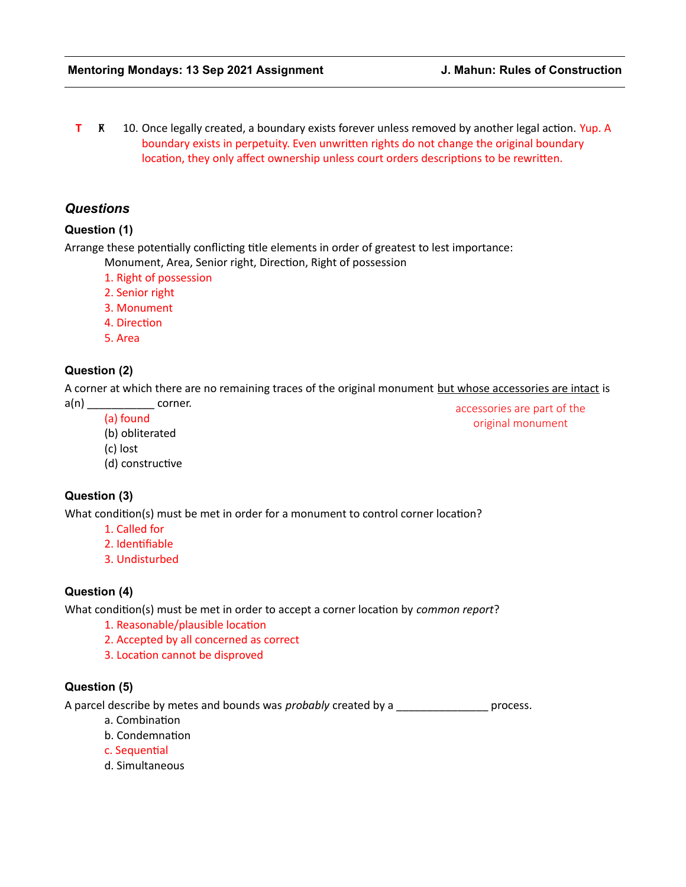**T R** 10. Once legally created, a boundary exists forever unless removed by another legal action. Yup. A boundary exists in perpetuity. Even unwritten rights do not change the original boundary location, they only affect ownership unless court orders descriptions to be rewritten.

## *Questions*

#### **Question (1)**

Arrange these potentially conflicting title elements in order of greatest to lest importance:

Monument, Area, Senior right, Direction, Right of possession

- 1. Right of possession
- 2. Senior right
- 3. Monument
- 4. Direction
- 5. Area

#### **Question (2)**

A corner at which there are no remaining traces of the original monument but whose accessories are intact is

a(n) corner. (a) found

accessories are part of the original monument

- (b) obliterated
- (c) lost
- (d) constructive

### **Question (3)**

What condition(s) must be met in order for a monument to control corner location?

- 1. Called for
- 2. Identifiable
- 3. Undisturbed

## **Question (4)**

What condition(s) must be met in order to accept a corner location by *common report*?

- 1. Reasonable/plausible location
- 2. Accepted by all concerned as correct
- 3. Location cannot be disproved

#### **Question (5)**

A parcel describe by metes and bounds was *probably* created by a **proposally** process.

- a. Combination
- b. Condemnation
- c. Sequential
- d. Simultaneous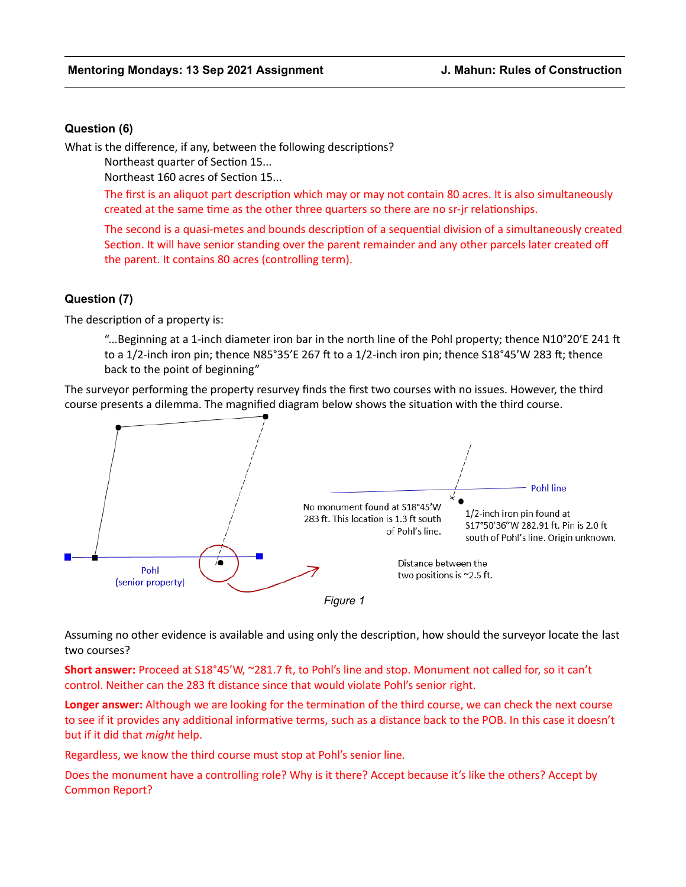### **Question (6)**

What is the difference, if any, between the following descriptions?

Northeast quarter of Section 15...

Northeast 160 acres of Section 15...

The first is an aliquot part description which may or may not contain 80 acres. It is also simultaneously created at the same time as the other three quarters so there are no sr-jr relationships.

The second is a quasi-metes and bounds description of a sequential division of a simultaneously created Section. It will have senior standing over the parent remainder and any other parcels later created off the parent. It contains 80 acres (controlling term).

### **Question (7)**

The description of a property is:

"...Beginning at a 1-inch diameter iron bar in the north line of the Pohl property; thence N10°20'E 241 ft to a 1/2-inch iron pin; thence N85°35'E 267 ft to a 1/2-inch iron pin; thence S18°45'W 283 ft; thence back to the point of beginning"

The surveyor performing the property resurvey finds the first two courses with no issues. However, the third course presents a dilemma. The magnified diagram below shows the situation with the third course.



Assuming no other evidence is available and using only the description, how should the surveyor locate the last two courses?

**Short answer:** Proceed at S18°45'W, ~281.7 ft, to Pohl's line and stop. Monument not called for, so it can't control. Neither can the 283 ft distance since that would violate Pohl's senior right.

**Longer answer:** Although we are looking for the termination of the third course, we can check the next course to see if it provides any additional informative terms, such as a distance back to the POB. In this case it doesn't but if it did that *might* help.

Regardless, we know the third course must stop at Pohl's senior line.

Does the monument have a controlling role? Why is it there? Accept because it's like the others? Accept by Common Report?